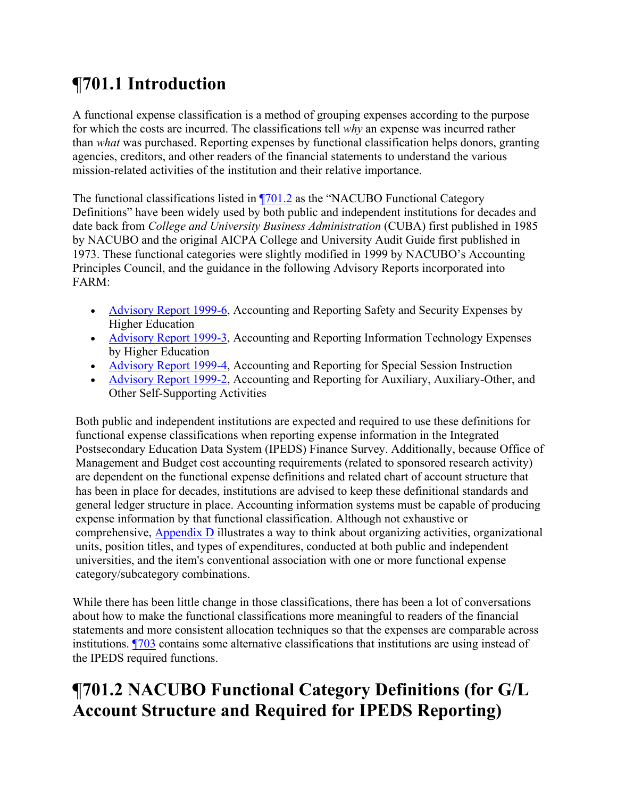# **¶701.1 Introduction**

A functional expense classification is a method of grouping expenses according to the purpose for which the costs are incurred. The classifications tell *why* an expense was incurred rather than *what* was purchased. Reporting expenses by functional classification helps donors, granting agencies, creditors, and other readers of the financial statements to understand the various mission-related activities of the institution and their relative importance.

The functional classifications listed in  $\sqrt{701.2}$  as the "NACUBO Functional Category Definitions" have been widely used by both public and independent institutions for decades and date back from *College and University Business Administration* (CUBA) first published in 1985 by NACUBO and the original AICPA College and University Audit Guide first published in 1973. These functional categories were slightly modified in 1999 by NACUBO's Accounting Principles Council, and the guidance in the following Advisory Reports incorporated into FARM:

- Advisory Report 1999-6, Accounting and Reporting Safety and Security Expenses by Higher Education
- Advisory Report 1999-3, Accounting and Reporting Information Technology Expenses by Higher Education
- Advisory Report 1999-4, Accounting and Reporting for Special Session Instruction
- Advisory Report 1999-2, Accounting and Reporting for Auxiliary, Auxiliary-Other, and Other Self-Supporting Activities

Both public and independent institutions are expected and required to use these definitions for functional expense classifications when reporting expense information in the Integrated Postsecondary Education Data System (IPEDS) Finance Survey. Additionally, because Office of Management and Budget cost accounting requirements (related to sponsored research activity) are dependent on the functional expense definitions and related chart of account structure that has been in place for decades, institutions are advised to keep these definitional standards and general ledger structure in place. Accounting information systems must be capable of producing expense information by that functional classification. Although not exhaustive or comprehensive, Appendix D illustrates a way to think about organizing activities, organizational units, position titles, and types of expenditures, conducted at both public and independent universities, and the item's conventional association with one or more functional expense category/subcategory combinations.

While there has been little change in those classifications, there has been a lot of conversations about how to make the functional classifications more meaningful to readers of the financial statements and more consistent allocation techniques so that the expenses are comparable across institutions. ¶703 contains some alternative classifications that institutions are using instead of the IPEDS required functions.

# **¶701.2 NACUBO Functional Category Definitions (for G/L Account Structure and Required for IPEDS Reporting)**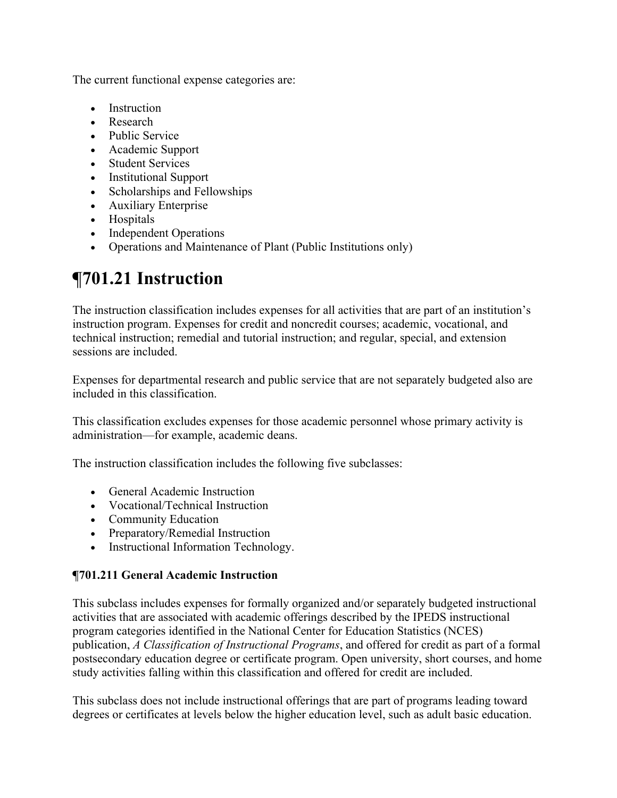The current functional expense categories are:

- Instruction
- Research
- Public Service
- Academic Support
- Student Services
- Institutional Support
- Scholarships and Fellowships
- Auxiliary Enterprise
- Hospitals
- Independent Operations
- Operations and Maintenance of Plant (Public Institutions only)

# **¶701.21 Instruction**

The instruction classification includes expenses for all activities that are part of an institution's instruction program. Expenses for credit and noncredit courses; academic, vocational, and technical instruction; remedial and tutorial instruction; and regular, special, and extension sessions are included.

Expenses for departmental research and public service that are not separately budgeted also are included in this classification.

This classification excludes expenses for those academic personnel whose primary activity is administration—for example, academic deans.

The instruction classification includes the following five subclasses:

- General Academic Instruction
- Vocational/Technical Instruction
- Community Education
- Preparatory/Remedial Instruction
- Instructional Information Technology.

### **¶701.211 General Academic Instruction**

This subclass includes expenses for formally organized and/or separately budgeted instructional activities that are associated with academic offerings described by the IPEDS instructional program categories identified in the National Center for Education Statistics (NCES) publication, *A Classification of Instructional Programs*, and offered for credit as part of a formal postsecondary education degree or certificate program. Open university, short courses, and home study activities falling within this classification and offered for credit are included.

This subclass does not include instructional offerings that are part of programs leading toward degrees or certificates at levels below the higher education level, such as adult basic education.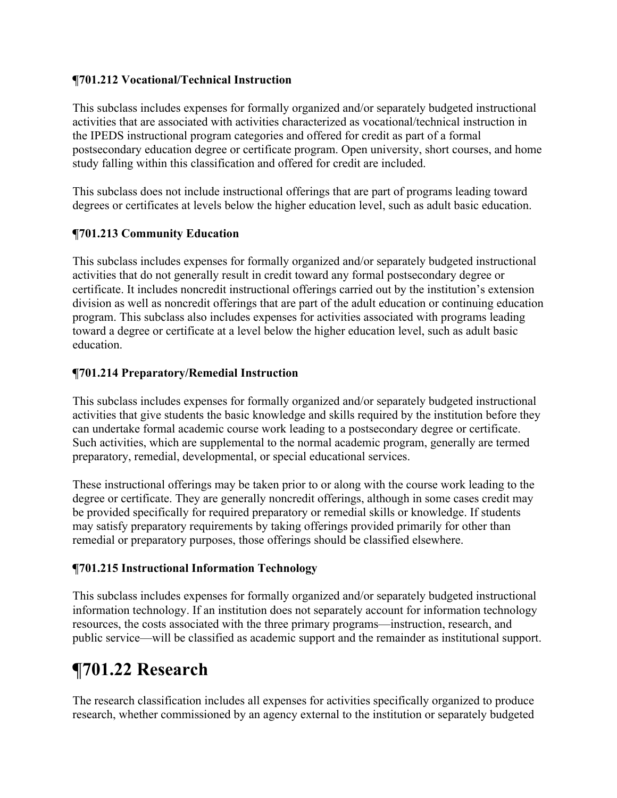### **¶701.212 Vocational/Technical Instruction**

This subclass includes expenses for formally organized and/or separately budgeted instructional activities that are associated with activities characterized as vocational/technical instruction in the IPEDS instructional program categories and offered for credit as part of a formal postsecondary education degree or certificate program. Open university, short courses, and home study falling within this classification and offered for credit are included.

This subclass does not include instructional offerings that are part of programs leading toward degrees or certificates at levels below the higher education level, such as adult basic education.

## **¶701.213 Community Education**

This subclass includes expenses for formally organized and/or separately budgeted instructional activities that do not generally result in credit toward any formal postsecondary degree or certificate. It includes noncredit instructional offerings carried out by the institution's extension division as well as noncredit offerings that are part of the adult education or continuing education program. This subclass also includes expenses for activities associated with programs leading toward a degree or certificate at a level below the higher education level, such as adult basic education.

## **¶701.214 Preparatory/Remedial Instruction**

This subclass includes expenses for formally organized and/or separately budgeted instructional activities that give students the basic knowledge and skills required by the institution before they can undertake formal academic course work leading to a postsecondary degree or certificate. Such activities, which are supplemental to the normal academic program, generally are termed preparatory, remedial, developmental, or special educational services.

These instructional offerings may be taken prior to or along with the course work leading to the degree or certificate. They are generally noncredit offerings, although in some cases credit may be provided specifically for required preparatory or remedial skills or knowledge. If students may satisfy preparatory requirements by taking offerings provided primarily for other than remedial or preparatory purposes, those offerings should be classified elsewhere.

## **¶701.215 Instructional Information Technology**

This subclass includes expenses for formally organized and/or separately budgeted instructional information technology. If an institution does not separately account for information technology resources, the costs associated with the three primary programs—instruction, research, and public service—will be classified as academic support and the remainder as institutional support.

## **¶701.22 Research**

The research classification includes all expenses for activities specifically organized to produce research, whether commissioned by an agency external to the institution or separately budgeted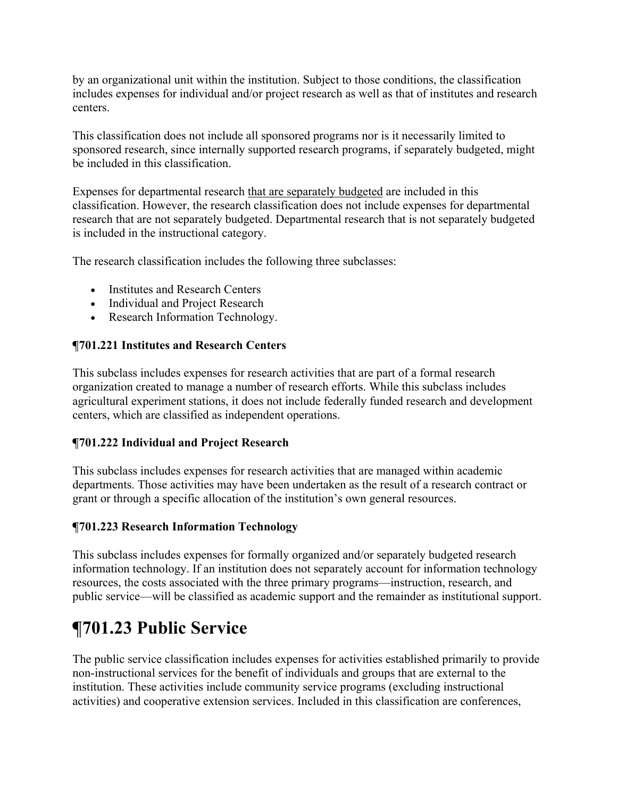by an organizational unit within the institution. Subject to those conditions, the classification includes expenses for individual and/or project research as well as that of institutes and research centers.

This classification does not include all sponsored programs nor is it necessarily limited to sponsored research, since internally supported research programs, if separately budgeted, might be included in this classification.

Expenses for departmental research that are separately budgeted are included in this classification. However, the research classification does not include expenses for departmental research that are not separately budgeted. Departmental research that is not separately budgeted is included in the instructional category.

The research classification includes the following three subclasses:

- Institutes and Research Centers
- Individual and Project Research
- Research Information Technology.

#### **¶701.221 Institutes and Research Centers**

This subclass includes expenses for research activities that are part of a formal research organization created to manage a number of research efforts. While this subclass includes agricultural experiment stations, it does not include federally funded research and development centers, which are classified as independent operations.

#### **¶701.222 Individual and Project Research**

This subclass includes expenses for research activities that are managed within academic departments. Those activities may have been undertaken as the result of a research contract or grant or through a specific allocation of the institution's own general resources.

### **¶701.223 Research Information Technology**

This subclass includes expenses for formally organized and/or separately budgeted research information technology. If an institution does not separately account for information technology resources, the costs associated with the three primary programs—instruction, research, and public service—will be classified as academic support and the remainder as institutional support.

# **¶701.23 Public Service**

The public service classification includes expenses for activities established primarily to provide non-instructional services for the benefit of individuals and groups that are external to the institution. These activities include community service programs (excluding instructional activities) and cooperative extension services. Included in this classification are conferences,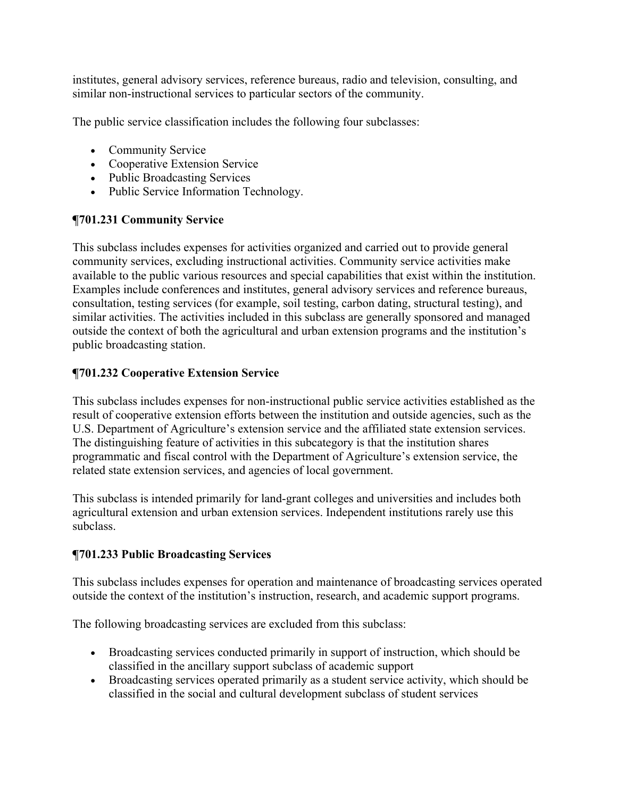institutes, general advisory services, reference bureaus, radio and television, consulting, and similar non-instructional services to particular sectors of the community.

The public service classification includes the following four subclasses:

- Community Service
- Cooperative Extension Service
- Public Broadcasting Services
- Public Service Information Technology.

### **¶701.231 Community Service**

This subclass includes expenses for activities organized and carried out to provide general community services, excluding instructional activities. Community service activities make available to the public various resources and special capabilities that exist within the institution. Examples include conferences and institutes, general advisory services and reference bureaus, consultation, testing services (for example, soil testing, carbon dating, structural testing), and similar activities. The activities included in this subclass are generally sponsored and managed outside the context of both the agricultural and urban extension programs and the institution's public broadcasting station.

### **¶701.232 Cooperative Extension Service**

This subclass includes expenses for non-instructional public service activities established as the result of cooperative extension efforts between the institution and outside agencies, such as the U.S. Department of Agriculture's extension service and the affiliated state extension services. The distinguishing feature of activities in this subcategory is that the institution shares programmatic and fiscal control with the Department of Agriculture's extension service, the related state extension services, and agencies of local government.

This subclass is intended primarily for land-grant colleges and universities and includes both agricultural extension and urban extension services. Independent institutions rarely use this subclass.

### **¶701.233 Public Broadcasting Services**

This subclass includes expenses for operation and maintenance of broadcasting services operated outside the context of the institution's instruction, research, and academic support programs.

The following broadcasting services are excluded from this subclass:

- Broadcasting services conducted primarily in support of instruction, which should be classified in the ancillary support subclass of academic support
- Broadcasting services operated primarily as a student service activity, which should be classified in the social and cultural development subclass of student services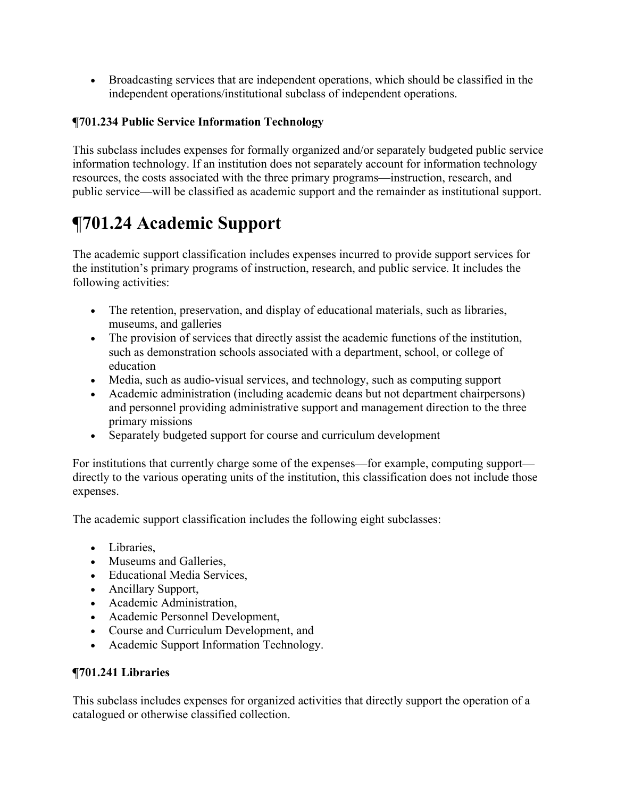Broadcasting services that are independent operations, which should be classified in the independent operations/institutional subclass of independent operations.

## **¶701.234 Public Service Information Technology**

This subclass includes expenses for formally organized and/or separately budgeted public service information technology. If an institution does not separately account for information technology resources, the costs associated with the three primary programs—instruction, research, and public service—will be classified as academic support and the remainder as institutional support.

# **¶701.24 Academic Support**

The academic support classification includes expenses incurred to provide support services for the institution's primary programs of instruction, research, and public service. It includes the following activities:

- The retention, preservation, and display of educational materials, such as libraries, museums, and galleries
- The provision of services that directly assist the academic functions of the institution, such as demonstration schools associated with a department, school, or college of education
- Media, such as audio-visual services, and technology, such as computing support
- Academic administration (including academic deans but not department chairpersons) and personnel providing administrative support and management direction to the three primary missions
- Separately budgeted support for course and curriculum development

For institutions that currently charge some of the expenses—for example, computing support directly to the various operating units of the institution, this classification does not include those expenses.

The academic support classification includes the following eight subclasses:

- Libraries.
- Museums and Galleries,
- Educational Media Services,
- Ancillary Support,
- Academic Administration,
- Academic Personnel Development,
- Course and Curriculum Development, and
- Academic Support Information Technology.

### **¶701.241 Libraries**

This subclass includes expenses for organized activities that directly support the operation of a catalogued or otherwise classified collection.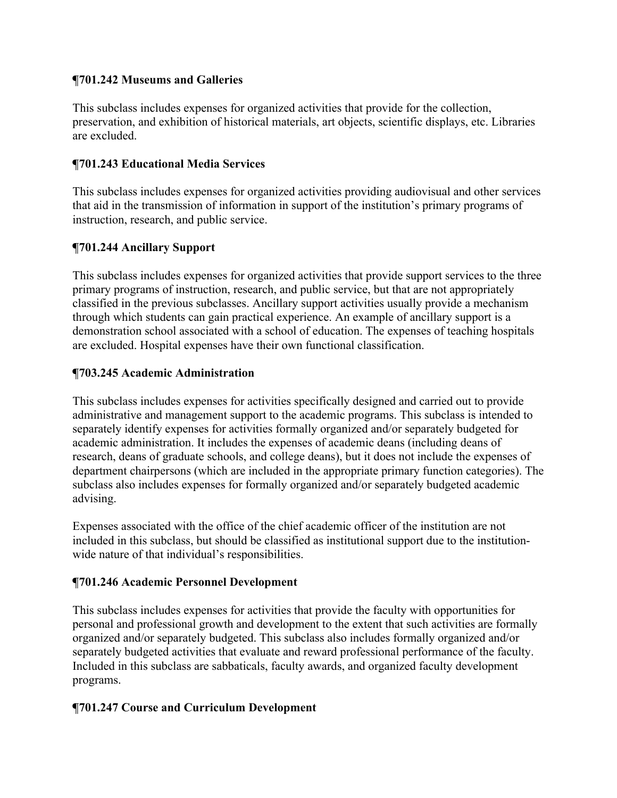### **¶701.242 Museums and Galleries**

This subclass includes expenses for organized activities that provide for the collection, preservation, and exhibition of historical materials, art objects, scientific displays, etc. Libraries are excluded.

### **¶701.243 Educational Media Services**

This subclass includes expenses for organized activities providing audiovisual and other services that aid in the transmission of information in support of the institution's primary programs of instruction, research, and public service.

## **¶701.244 Ancillary Support**

This subclass includes expenses for organized activities that provide support services to the three primary programs of instruction, research, and public service, but that are not appropriately classified in the previous subclasses. Ancillary support activities usually provide a mechanism through which students can gain practical experience. An example of ancillary support is a demonstration school associated with a school of education. The expenses of teaching hospitals are excluded. Hospital expenses have their own functional classification.

## **¶703.245 Academic Administration**

This subclass includes expenses for activities specifically designed and carried out to provide administrative and management support to the academic programs. This subclass is intended to separately identify expenses for activities formally organized and/or separately budgeted for academic administration. It includes the expenses of academic deans (including deans of research, deans of graduate schools, and college deans), but it does not include the expenses of department chairpersons (which are included in the appropriate primary function categories). The subclass also includes expenses for formally organized and/or separately budgeted academic advising.

Expenses associated with the office of the chief academic officer of the institution are not included in this subclass, but should be classified as institutional support due to the institutionwide nature of that individual's responsibilities.

## **¶701.246 Academic Personnel Development**

This subclass includes expenses for activities that provide the faculty with opportunities for personal and professional growth and development to the extent that such activities are formally organized and/or separately budgeted. This subclass also includes formally organized and/or separately budgeted activities that evaluate and reward professional performance of the faculty. Included in this subclass are sabbaticals, faculty awards, and organized faculty development programs.

### **¶701.247 Course and Curriculum Development**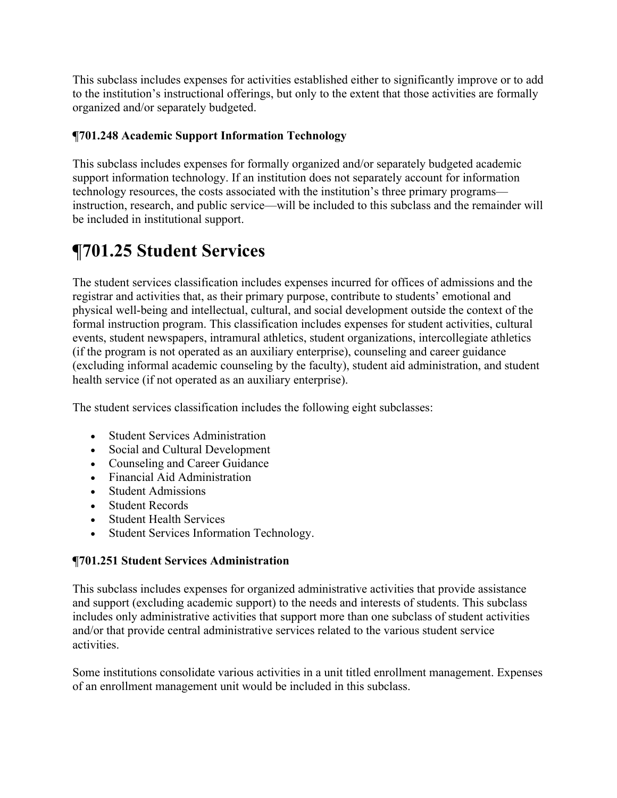This subclass includes expenses for activities established either to significantly improve or to add to the institution's instructional offerings, but only to the extent that those activities are formally organized and/or separately budgeted.

## **¶701.248 Academic Support Information Technology**

This subclass includes expenses for formally organized and/or separately budgeted academic support information technology. If an institution does not separately account for information technology resources, the costs associated with the institution's three primary programs instruction, research, and public service—will be included to this subclass and the remainder will be included in institutional support.

# **¶701.25 Student Services**

The student services classification includes expenses incurred for offices of admissions and the registrar and activities that, as their primary purpose, contribute to students' emotional and physical well-being and intellectual, cultural, and social development outside the context of the formal instruction program. This classification includes expenses for student activities, cultural events, student newspapers, intramural athletics, student organizations, intercollegiate athletics (if the program is not operated as an auxiliary enterprise), counseling and career guidance (excluding informal academic counseling by the faculty), student aid administration, and student health service (if not operated as an auxiliary enterprise).

The student services classification includes the following eight subclasses:

- Student Services Administration
- Social and Cultural Development
- Counseling and Career Guidance
- Financial Aid Administration
- Student Admissions
- Student Records
- Student Health Services
- Student Services Information Technology.

### **¶701.251 Student Services Administration**

This subclass includes expenses for organized administrative activities that provide assistance and support (excluding academic support) to the needs and interests of students. This subclass includes only administrative activities that support more than one subclass of student activities and/or that provide central administrative services related to the various student service activities.

Some institutions consolidate various activities in a unit titled enrollment management. Expenses of an enrollment management unit would be included in this subclass.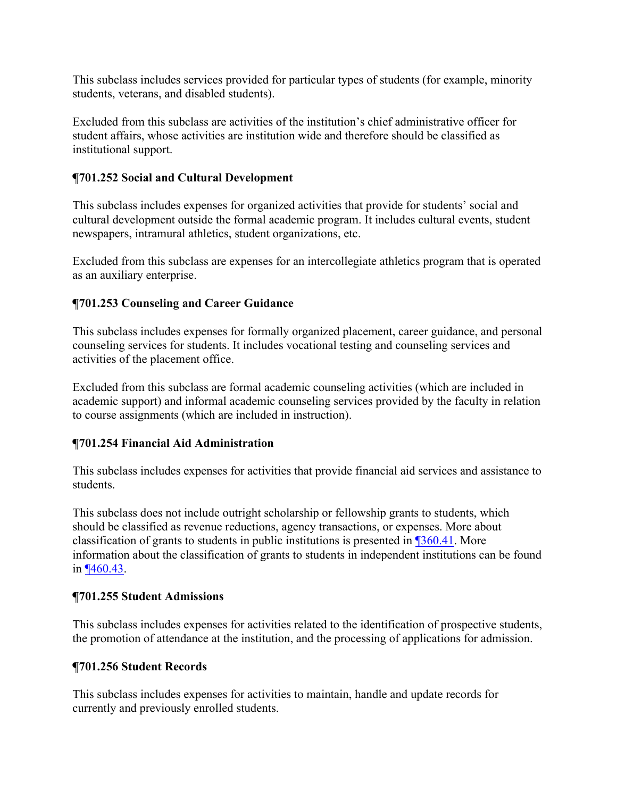This subclass includes services provided for particular types of students (for example, minority students, veterans, and disabled students).

Excluded from this subclass are activities of the institution's chief administrative officer for student affairs, whose activities are institution wide and therefore should be classified as institutional support.

### **¶701.252 Social and Cultural Development**

This subclass includes expenses for organized activities that provide for students' social and cultural development outside the formal academic program. It includes cultural events, student newspapers, intramural athletics, student organizations, etc.

Excluded from this subclass are expenses for an intercollegiate athletics program that is operated as an auxiliary enterprise.

## **¶701.253 Counseling and Career Guidance**

This subclass includes expenses for formally organized placement, career guidance, and personal counseling services for students. It includes vocational testing and counseling services and activities of the placement office.

Excluded from this subclass are formal academic counseling activities (which are included in academic support) and informal academic counseling services provided by the faculty in relation to course assignments (which are included in instruction).

## **¶701.254 Financial Aid Administration**

This subclass includes expenses for activities that provide financial aid services and assistance to students.

This subclass does not include outright scholarship or fellowship grants to students, which should be classified as revenue reductions, agency transactions, or expenses. More about classification of grants to students in public institutions is presented in ¶360.41. More information about the classification of grants to students in independent institutions can be found in ¶460.43.

### **¶701.255 Student Admissions**

This subclass includes expenses for activities related to the identification of prospective students, the promotion of attendance at the institution, and the processing of applications for admission.

### **¶701.256 Student Records**

This subclass includes expenses for activities to maintain, handle and update records for currently and previously enrolled students.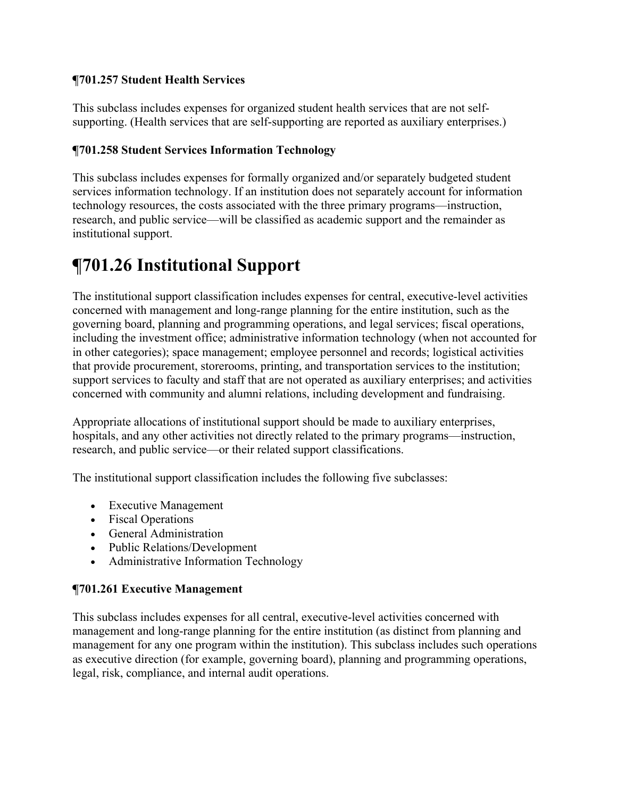### **¶701.257 Student Health Services**

This subclass includes expenses for organized student health services that are not selfsupporting. (Health services that are self-supporting are reported as auxiliary enterprises.)

## **¶701.258 Student Services Information Technology**

This subclass includes expenses for formally organized and/or separately budgeted student services information technology. If an institution does not separately account for information technology resources, the costs associated with the three primary programs—instruction, research, and public service—will be classified as academic support and the remainder as institutional support.

# **¶701.26 Institutional Support**

The institutional support classification includes expenses for central, executive-level activities concerned with management and long-range planning for the entire institution, such as the governing board, planning and programming operations, and legal services; fiscal operations, including the investment office; administrative information technology (when not accounted for in other categories); space management; employee personnel and records; logistical activities that provide procurement, storerooms, printing, and transportation services to the institution; support services to faculty and staff that are not operated as auxiliary enterprises; and activities concerned with community and alumni relations, including development and fundraising.

Appropriate allocations of institutional support should be made to auxiliary enterprises, hospitals, and any other activities not directly related to the primary programs—instruction, research, and public service—or their related support classifications.

The institutional support classification includes the following five subclasses:

- Executive Management
- Fiscal Operations
- General Administration
- Public Relations/Development
- Administrative Information Technology

### **¶701.261 Executive Management**

This subclass includes expenses for all central, executive-level activities concerned with management and long-range planning for the entire institution (as distinct from planning and management for any one program within the institution). This subclass includes such operations as executive direction (for example, governing board), planning and programming operations, legal, risk, compliance, and internal audit operations.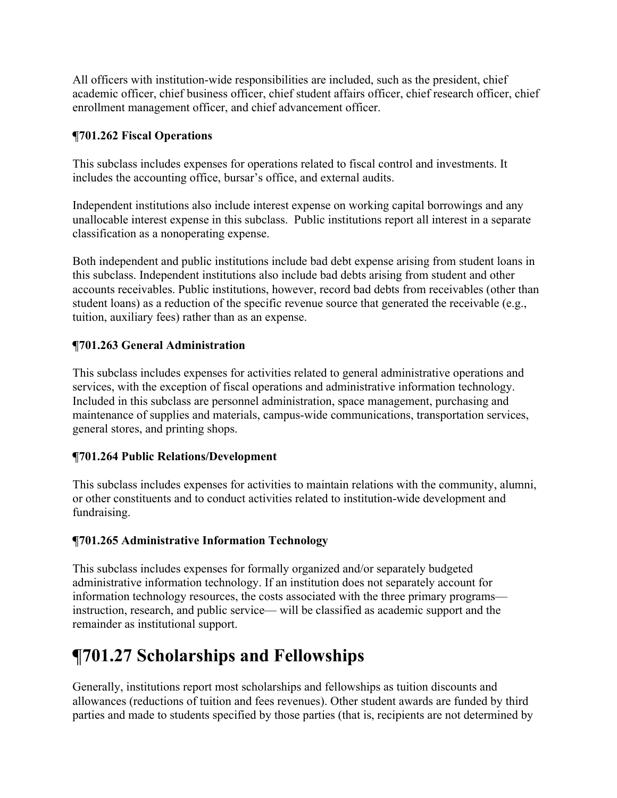All officers with institution-wide responsibilities are included, such as the president, chief academic officer, chief business officer, chief student affairs officer, chief research officer, chief enrollment management officer, and chief advancement officer.

## **¶701.262 Fiscal Operations**

This subclass includes expenses for operations related to fiscal control and investments. It includes the accounting office, bursar's office, and external audits.

Independent institutions also include interest expense on working capital borrowings and any unallocable interest expense in this subclass. Public institutions report all interest in a separate classification as a nonoperating expense.

Both independent and public institutions include bad debt expense arising from student loans in this subclass. Independent institutions also include bad debts arising from student and other accounts receivables. Public institutions, however, record bad debts from receivables (other than student loans) as a reduction of the specific revenue source that generated the receivable (e.g., tuition, auxiliary fees) rather than as an expense.

## **¶701.263 General Administration**

This subclass includes expenses for activities related to general administrative operations and services, with the exception of fiscal operations and administrative information technology. Included in this subclass are personnel administration, space management, purchasing and maintenance of supplies and materials, campus-wide communications, transportation services, general stores, and printing shops.

### **¶701.264 Public Relations/Development**

This subclass includes expenses for activities to maintain relations with the community, alumni, or other constituents and to conduct activities related to institution-wide development and fundraising.

## **¶701.265 Administrative Information Technology**

This subclass includes expenses for formally organized and/or separately budgeted administrative information technology. If an institution does not separately account for information technology resources, the costs associated with the three primary programs instruction, research, and public service— will be classified as academic support and the remainder as institutional support.

## **¶701.27 Scholarships and Fellowships**

Generally, institutions report most scholarships and fellowships as tuition discounts and allowances (reductions of tuition and fees revenues). Other student awards are funded by third parties and made to students specified by those parties (that is, recipients are not determined by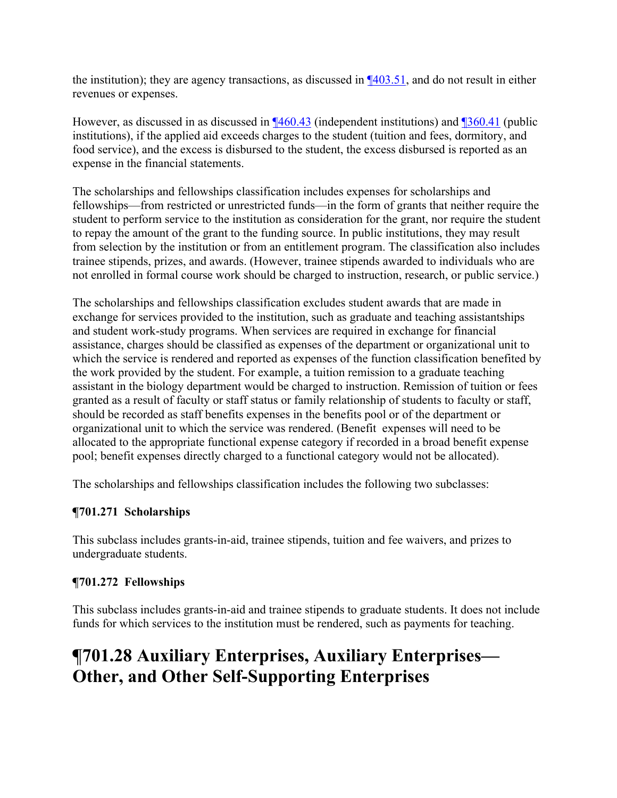the institution); they are agency transactions, as discussed in  $\P$ 403.51, and do not result in either revenues or expenses.

However, as discussed in as discussed in ¶460.43 (independent institutions) and ¶360.41 (public institutions), if the applied aid exceeds charges to the student (tuition and fees, dormitory, and food service), and the excess is disbursed to the student, the excess disbursed is reported as an expense in the financial statements.

The scholarships and fellowships classification includes expenses for scholarships and fellowships—from restricted or unrestricted funds—in the form of grants that neither require the student to perform service to the institution as consideration for the grant, nor require the student to repay the amount of the grant to the funding source. In public institutions, they may result from selection by the institution or from an entitlement program. The classification also includes trainee stipends, prizes, and awards. (However, trainee stipends awarded to individuals who are not enrolled in formal course work should be charged to instruction, research, or public service.)

The scholarships and fellowships classification excludes student awards that are made in exchange for services provided to the institution, such as graduate and teaching assistantships and student work-study programs. When services are required in exchange for financial assistance, charges should be classified as expenses of the department or organizational unit to which the service is rendered and reported as expenses of the function classification benefited by the work provided by the student. For example, a tuition remission to a graduate teaching assistant in the biology department would be charged to instruction. Remission of tuition or fees granted as a result of faculty or staff status or family relationship of students to faculty or staff, should be recorded as staff benefits expenses in the benefits pool or of the department or organizational unit to which the service was rendered. (Benefit expenses will need to be allocated to the appropriate functional expense category if recorded in a broad benefit expense pool; benefit expenses directly charged to a functional category would not be allocated).

The scholarships and fellowships classification includes the following two subclasses:

### **¶701.271 Scholarships**

This subclass includes grants-in-aid, trainee stipends, tuition and fee waivers, and prizes to undergraduate students.

## **¶701.272 Fellowships**

This subclass includes grants-in-aid and trainee stipends to graduate students. It does not include funds for which services to the institution must be rendered, such as payments for teaching.

## **¶701.28 Auxiliary Enterprises, Auxiliary Enterprises— Other, and Other Self-Supporting Enterprises**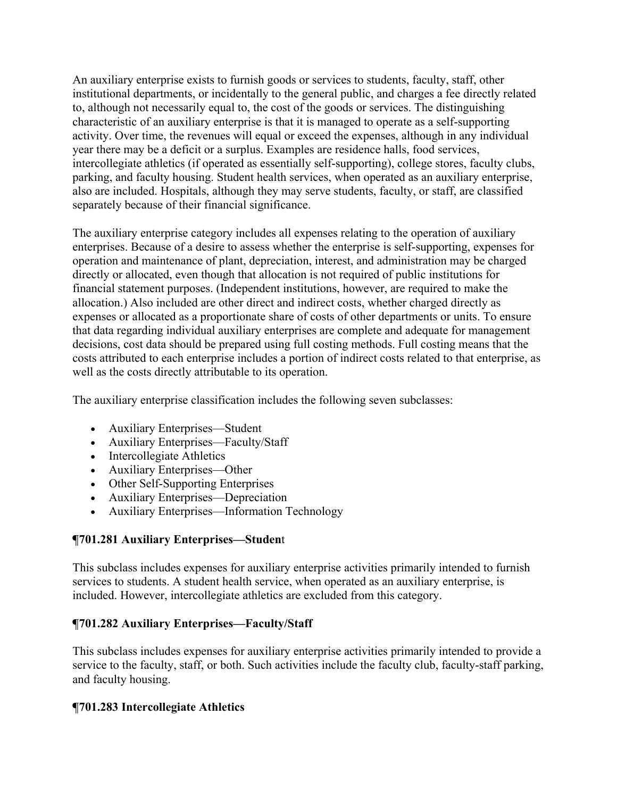An auxiliary enterprise exists to furnish goods or services to students, faculty, staff, other institutional departments, or incidentally to the general public, and charges a fee directly related to, although not necessarily equal to, the cost of the goods or services. The distinguishing characteristic of an auxiliary enterprise is that it is managed to operate as a self-supporting activity. Over time, the revenues will equal or exceed the expenses, although in any individual year there may be a deficit or a surplus. Examples are residence halls, food services, intercollegiate athletics (if operated as essentially self-supporting), college stores, faculty clubs, parking, and faculty housing. Student health services, when operated as an auxiliary enterprise, also are included. Hospitals, although they may serve students, faculty, or staff, are classified separately because of their financial significance.

The auxiliary enterprise category includes all expenses relating to the operation of auxiliary enterprises. Because of a desire to assess whether the enterprise is self-supporting, expenses for operation and maintenance of plant, depreciation, interest, and administration may be charged directly or allocated, even though that allocation is not required of public institutions for financial statement purposes. (Independent institutions, however, are required to make the allocation.) Also included are other direct and indirect costs, whether charged directly as expenses or allocated as a proportionate share of costs of other departments or units. To ensure that data regarding individual auxiliary enterprises are complete and adequate for management decisions, cost data should be prepared using full costing methods. Full costing means that the costs attributed to each enterprise includes a portion of indirect costs related to that enterprise, as well as the costs directly attributable to its operation.

The auxiliary enterprise classification includes the following seven subclasses:

- Auxiliary Enterprises—Student
- Auxiliary Enterprises—Faculty/Staff
- Intercollegiate Athletics
- Auxiliary Enterprises—Other
- Other Self-Supporting Enterprises
- Auxiliary Enterprises—Depreciation
- Auxiliary Enterprises—Information Technology

#### **¶701.281 Auxiliary Enterprises—Studen**t

This subclass includes expenses for auxiliary enterprise activities primarily intended to furnish services to students. A student health service, when operated as an auxiliary enterprise, is included. However, intercollegiate athletics are excluded from this category.

#### **¶701.282 Auxiliary Enterprises—Faculty/Staff**

This subclass includes expenses for auxiliary enterprise activities primarily intended to provide a service to the faculty, staff, or both. Such activities include the faculty club, faculty-staff parking, and faculty housing.

### **¶701.283 Intercollegiate Athletics**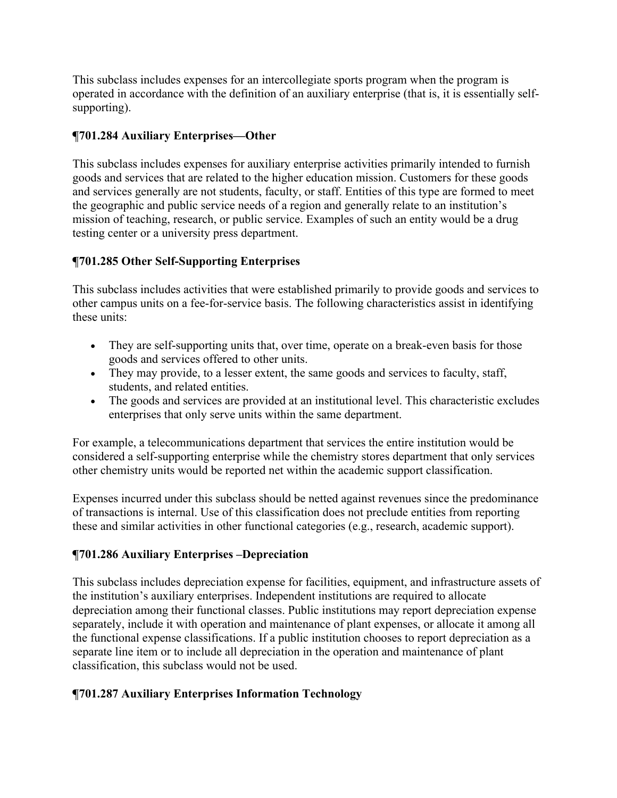This subclass includes expenses for an intercollegiate sports program when the program is operated in accordance with the definition of an auxiliary enterprise (that is, it is essentially selfsupporting).

## **¶701.284 Auxiliary Enterprises—Other**

This subclass includes expenses for auxiliary enterprise activities primarily intended to furnish goods and services that are related to the higher education mission. Customers for these goods and services generally are not students, faculty, or staff. Entities of this type are formed to meet the geographic and public service needs of a region and generally relate to an institution's mission of teaching, research, or public service. Examples of such an entity would be a drug testing center or a university press department.

## **¶701.285 Other Self-Supporting Enterprises**

This subclass includes activities that were established primarily to provide goods and services to other campus units on a fee-for-service basis. The following characteristics assist in identifying these units:

- They are self-supporting units that, over time, operate on a break-even basis for those goods and services offered to other units.
- They may provide, to a lesser extent, the same goods and services to faculty, staff, students, and related entities.
- The goods and services are provided at an institutional level. This characteristic excludes enterprises that only serve units within the same department.

For example, a telecommunications department that services the entire institution would be considered a self-supporting enterprise while the chemistry stores department that only services other chemistry units would be reported net within the academic support classification.

Expenses incurred under this subclass should be netted against revenues since the predominance of transactions is internal. Use of this classification does not preclude entities from reporting these and similar activities in other functional categories (e.g., research, academic support).

### **¶701.286 Auxiliary Enterprises –Depreciation**

This subclass includes depreciation expense for facilities, equipment, and infrastructure assets of the institution's auxiliary enterprises. Independent institutions are required to allocate depreciation among their functional classes. Public institutions may report depreciation expense separately, include it with operation and maintenance of plant expenses, or allocate it among all the functional expense classifications. If a public institution chooses to report depreciation as a separate line item or to include all depreciation in the operation and maintenance of plant classification, this subclass would not be used.

## **¶701.287 Auxiliary Enterprises Information Technology**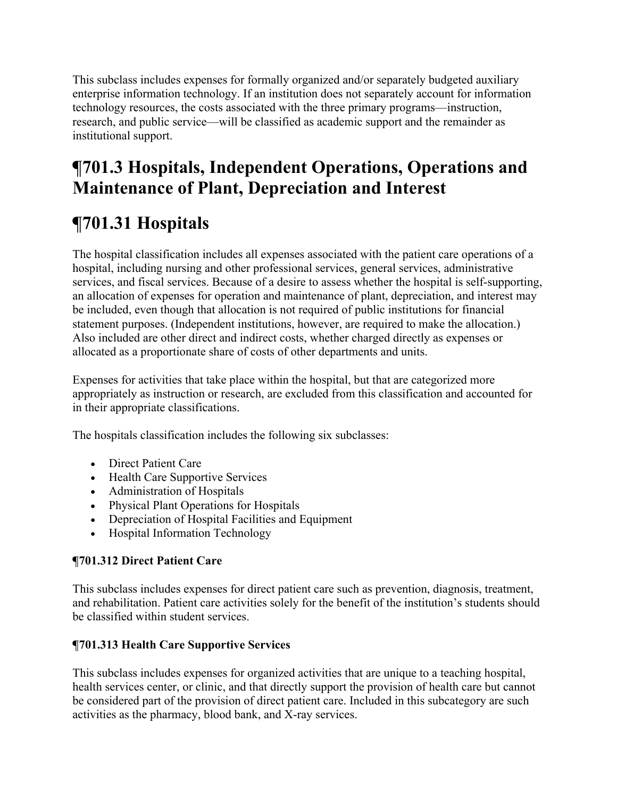This subclass includes expenses for formally organized and/or separately budgeted auxiliary enterprise information technology. If an institution does not separately account for information technology resources, the costs associated with the three primary programs—instruction, research, and public service—will be classified as academic support and the remainder as institutional support.

# **¶701.3 Hospitals, Independent Operations, Operations and Maintenance of Plant, Depreciation and Interest**

# **¶701.31 Hospitals**

The hospital classification includes all expenses associated with the patient care operations of a hospital, including nursing and other professional services, general services, administrative services, and fiscal services. Because of a desire to assess whether the hospital is self-supporting, an allocation of expenses for operation and maintenance of plant, depreciation, and interest may be included, even though that allocation is not required of public institutions for financial statement purposes. (Independent institutions, however, are required to make the allocation.) Also included are other direct and indirect costs, whether charged directly as expenses or allocated as a proportionate share of costs of other departments and units.

Expenses for activities that take place within the hospital, but that are categorized more appropriately as instruction or research, are excluded from this classification and accounted for in their appropriate classifications.

The hospitals classification includes the following six subclasses:

- Direct Patient Care
- Health Care Supportive Services
- Administration of Hospitals
- Physical Plant Operations for Hospitals
- Depreciation of Hospital Facilities and Equipment
- Hospital Information Technology

## **¶701.312 Direct Patient Care**

This subclass includes expenses for direct patient care such as prevention, diagnosis, treatment, and rehabilitation. Patient care activities solely for the benefit of the institution's students should be classified within student services.

## **¶701.313 Health Care Supportive Services**

This subclass includes expenses for organized activities that are unique to a teaching hospital, health services center, or clinic, and that directly support the provision of health care but cannot be considered part of the provision of direct patient care. Included in this subcategory are such activities as the pharmacy, blood bank, and X-ray services.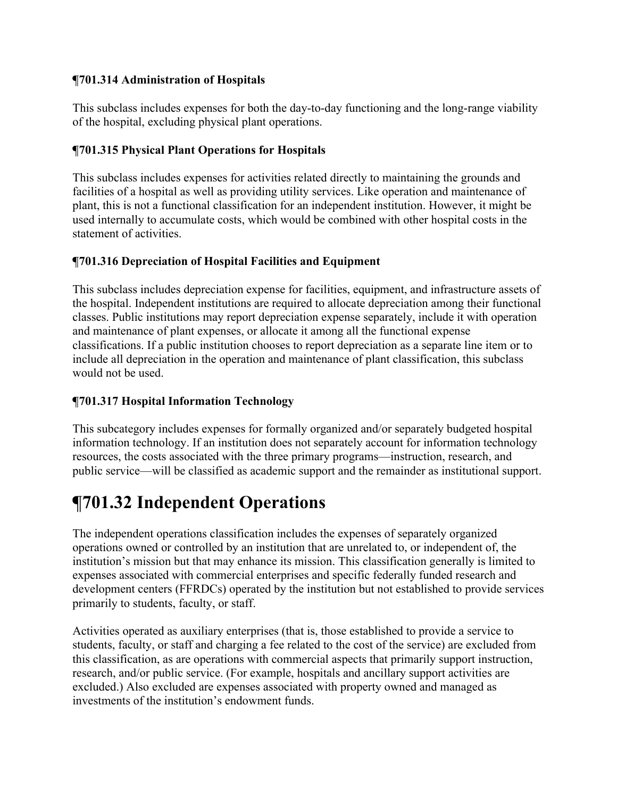## **¶701.314 Administration of Hospitals**

This subclass includes expenses for both the day-to-day functioning and the long-range viability of the hospital, excluding physical plant operations.

## **¶701.315 Physical Plant Operations for Hospitals**

This subclass includes expenses for activities related directly to maintaining the grounds and facilities of a hospital as well as providing utility services. Like operation and maintenance of plant, this is not a functional classification for an independent institution. However, it might be used internally to accumulate costs, which would be combined with other hospital costs in the statement of activities.

## **¶701.316 Depreciation of Hospital Facilities and Equipment**

This subclass includes depreciation expense for facilities, equipment, and infrastructure assets of the hospital. Independent institutions are required to allocate depreciation among their functional classes. Public institutions may report depreciation expense separately, include it with operation and maintenance of plant expenses, or allocate it among all the functional expense classifications. If a public institution chooses to report depreciation as a separate line item or to include all depreciation in the operation and maintenance of plant classification, this subclass would not be used.

## **¶701.317 Hospital Information Technology**

This subcategory includes expenses for formally organized and/or separately budgeted hospital information technology. If an institution does not separately account for information technology resources, the costs associated with the three primary programs—instruction, research, and public service—will be classified as academic support and the remainder as institutional support.

## **¶701.32 Independent Operations**

The independent operations classification includes the expenses of separately organized operations owned or controlled by an institution that are unrelated to, or independent of, the institution's mission but that may enhance its mission. This classification generally is limited to expenses associated with commercial enterprises and specific federally funded research and development centers (FFRDCs) operated by the institution but not established to provide services primarily to students, faculty, or staff.

Activities operated as auxiliary enterprises (that is, those established to provide a service to students, faculty, or staff and charging a fee related to the cost of the service) are excluded from this classification, as are operations with commercial aspects that primarily support instruction, research, and/or public service. (For example, hospitals and ancillary support activities are excluded.) Also excluded are expenses associated with property owned and managed as investments of the institution's endowment funds.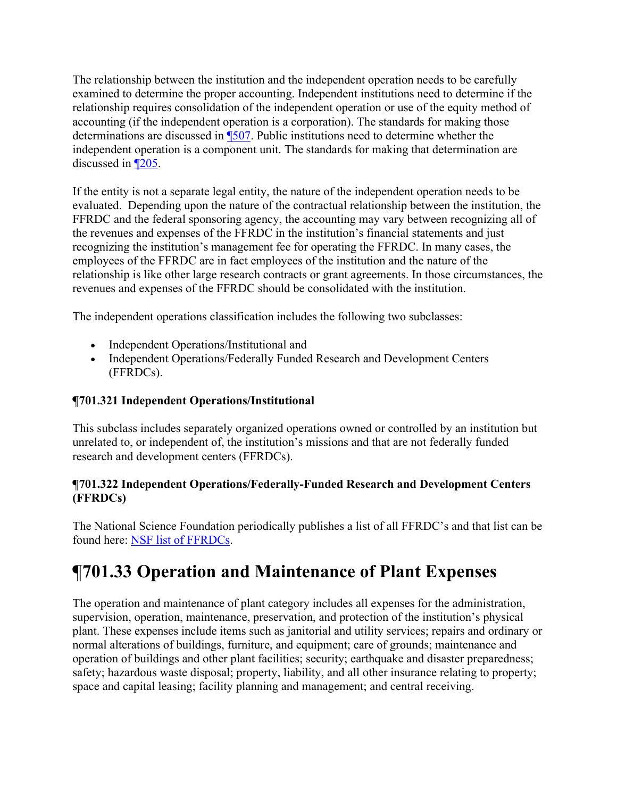The relationship between the institution and the independent operation needs to be carefully examined to determine the proper accounting. Independent institutions need to determine if the relationship requires consolidation of the independent operation or use of the equity method of accounting (if the independent operation is a corporation). The standards for making those determinations are discussed in ¶507. Public institutions need to determine whether the independent operation is a component unit. The standards for making that determination are discussed in ¶205.

If the entity is not a separate legal entity, the nature of the independent operation needs to be evaluated. Depending upon the nature of the contractual relationship between the institution, the FFRDC and the federal sponsoring agency, the accounting may vary between recognizing all of the revenues and expenses of the FFRDC in the institution's financial statements and just recognizing the institution's management fee for operating the FFRDC. In many cases, the employees of the FFRDC are in fact employees of the institution and the nature of the relationship is like other large research contracts or grant agreements. In those circumstances, the revenues and expenses of the FFRDC should be consolidated with the institution.

The independent operations classification includes the following two subclasses:

- Independent Operations/Institutional and
- Independent Operations/Federally Funded Research and Development Centers (FFRDCs).

## **¶701.321 Independent Operations/Institutional**

This subclass includes separately organized operations owned or controlled by an institution but unrelated to, or independent of, the institution's missions and that are not federally funded research and development centers (FFRDCs).

## **¶701.322 Independent Operations/Federally-Funded Research and Development Centers (FFRDCs)**

The National Science Foundation periodically publishes a list of all FFRDC's and that list can be found here: NSF list of FFRDCs.

## **¶701.33 Operation and Maintenance of Plant Expenses**

The operation and maintenance of plant category includes all expenses for the administration, supervision, operation, maintenance, preservation, and protection of the institution's physical plant. These expenses include items such as janitorial and utility services; repairs and ordinary or normal alterations of buildings, furniture, and equipment; care of grounds; maintenance and operation of buildings and other plant facilities; security; earthquake and disaster preparedness; safety; hazardous waste disposal; property, liability, and all other insurance relating to property; space and capital leasing; facility planning and management; and central receiving.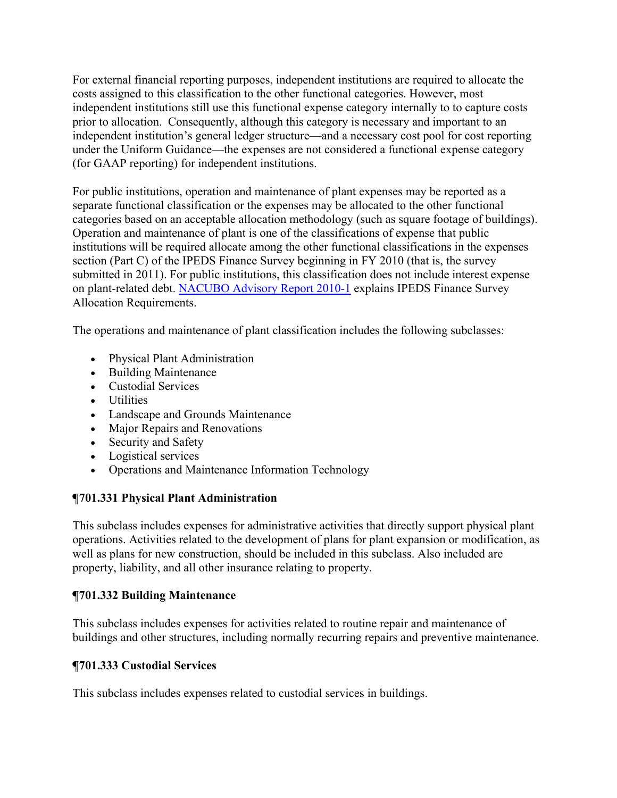For external financial reporting purposes, independent institutions are required to allocate the costs assigned to this classification to the other functional categories. However, most independent institutions still use this functional expense category internally to to capture costs prior to allocation. Consequently, although this category is necessary and important to an independent institution's general ledger structure—and a necessary cost pool for cost reporting under the Uniform Guidance—the expenses are not considered a functional expense category (for GAAP reporting) for independent institutions.

For public institutions, operation and maintenance of plant expenses may be reported as a separate functional classification or the expenses may be allocated to the other functional categories based on an acceptable allocation methodology (such as square footage of buildings). Operation and maintenance of plant is one of the classifications of expense that public institutions will be required allocate among the other functional classifications in the expenses section (Part C) of the IPEDS Finance Survey beginning in FY 2010 (that is, the survey submitted in 2011). For public institutions, this classification does not include interest expense on plant-related debt. NACUBO Advisory Report 2010-1 explains IPEDS Finance Survey Allocation Requirements.

The operations and maintenance of plant classification includes the following subclasses:

- Physical Plant Administration
- Building Maintenance
- Custodial Services
- Utilities
- Landscape and Grounds Maintenance
- Major Repairs and Renovations
- Security and Safety
- Logistical services
- Operations and Maintenance Information Technology

## **¶701.331 Physical Plant Administration**

This subclass includes expenses for administrative activities that directly support physical plant operations. Activities related to the development of plans for plant expansion or modification, as well as plans for new construction, should be included in this subclass. Also included are property, liability, and all other insurance relating to property.

## **¶701.332 Building Maintenance**

This subclass includes expenses for activities related to routine repair and maintenance of buildings and other structures, including normally recurring repairs and preventive maintenance.

## **¶701.333 Custodial Services**

This subclass includes expenses related to custodial services in buildings.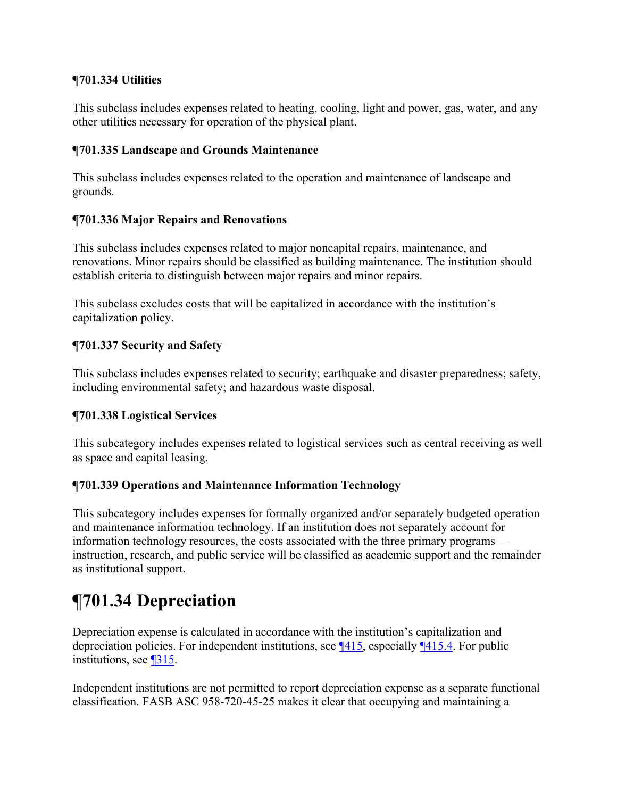### **¶701.334 Utilities**

This subclass includes expenses related to heating, cooling, light and power, gas, water, and any other utilities necessary for operation of the physical plant.

### **¶701.335 Landscape and Grounds Maintenance**

This subclass includes expenses related to the operation and maintenance of landscape and grounds.

## **¶701.336 Major Repairs and Renovations**

This subclass includes expenses related to major noncapital repairs, maintenance, and renovations. Minor repairs should be classified as building maintenance. The institution should establish criteria to distinguish between major repairs and minor repairs.

This subclass excludes costs that will be capitalized in accordance with the institution's capitalization policy.

## **¶701.337 Security and Safety**

This subclass includes expenses related to security; earthquake and disaster preparedness; safety, including environmental safety; and hazardous waste disposal.

### **¶701.338 Logistical Services**

This subcategory includes expenses related to logistical services such as central receiving as well as space and capital leasing.

## **¶701.339 Operations and Maintenance Information Technology**

This subcategory includes expenses for formally organized and/or separately budgeted operation and maintenance information technology. If an institution does not separately account for information technology resources, the costs associated with the three primary programs instruction, research, and public service will be classified as academic support and the remainder as institutional support.

# **¶701.34 Depreciation**

Depreciation expense is calculated in accordance with the institution's capitalization and depreciation policies. For independent institutions, see ¶415, especially ¶415.4. For public institutions, see ¶315.

Independent institutions are not permitted to report depreciation expense as a separate functional classification. FASB ASC 958-720-45-25 makes it clear that occupying and maintaining a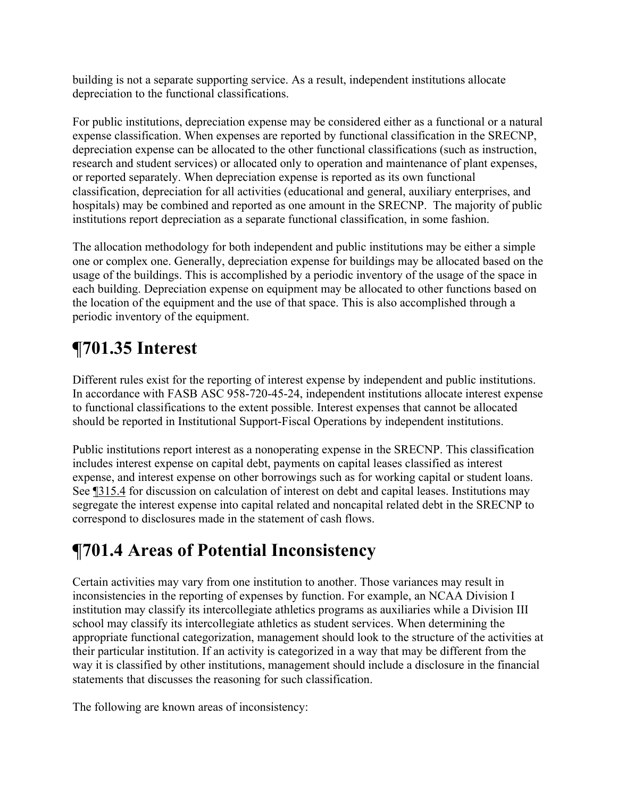building is not a separate supporting service. As a result, independent institutions allocate depreciation to the functional classifications.

For public institutions, depreciation expense may be considered either as a functional or a natural expense classification. When expenses are reported by functional classification in the SRECNP, depreciation expense can be allocated to the other functional classifications (such as instruction, research and student services) or allocated only to operation and maintenance of plant expenses, or reported separately. When depreciation expense is reported as its own functional classification, depreciation for all activities (educational and general, auxiliary enterprises, and hospitals) may be combined and reported as one amount in the SRECNP. The majority of public institutions report depreciation as a separate functional classification, in some fashion.

The allocation methodology for both independent and public institutions may be either a simple one or complex one. Generally, depreciation expense for buildings may be allocated based on the usage of the buildings. This is accomplished by a periodic inventory of the usage of the space in each building. Depreciation expense on equipment may be allocated to other functions based on the location of the equipment and the use of that space. This is also accomplished through a periodic inventory of the equipment.

# **¶701.35 Interest**

Different rules exist for the reporting of interest expense by independent and public institutions. In accordance with FASB ASC 958-720-45-24, independent institutions allocate interest expense to functional classifications to the extent possible. Interest expenses that cannot be allocated should be reported in Institutional Support-Fiscal Operations by independent institutions.

Public institutions report interest as a nonoperating expense in the SRECNP. This classification includes interest expense on capital debt, payments on capital leases classified as interest expense, and interest expense on other borrowings such as for working capital or student loans. See ¶315.4 for discussion on calculation of interest on debt and capital leases. Institutions may segregate the interest expense into capital related and noncapital related debt in the SRECNP to correspond to disclosures made in the statement of cash flows.

# **¶701.4 Areas of Potential Inconsistency**

Certain activities may vary from one institution to another. Those variances may result in inconsistencies in the reporting of expenses by function. For example, an NCAA Division I institution may classify its intercollegiate athletics programs as auxiliaries while a Division III school may classify its intercollegiate athletics as student services. When determining the appropriate functional categorization, management should look to the structure of the activities at their particular institution. If an activity is categorized in a way that may be different from the way it is classified by other institutions, management should include a disclosure in the financial statements that discusses the reasoning for such classification.

The following are known areas of inconsistency: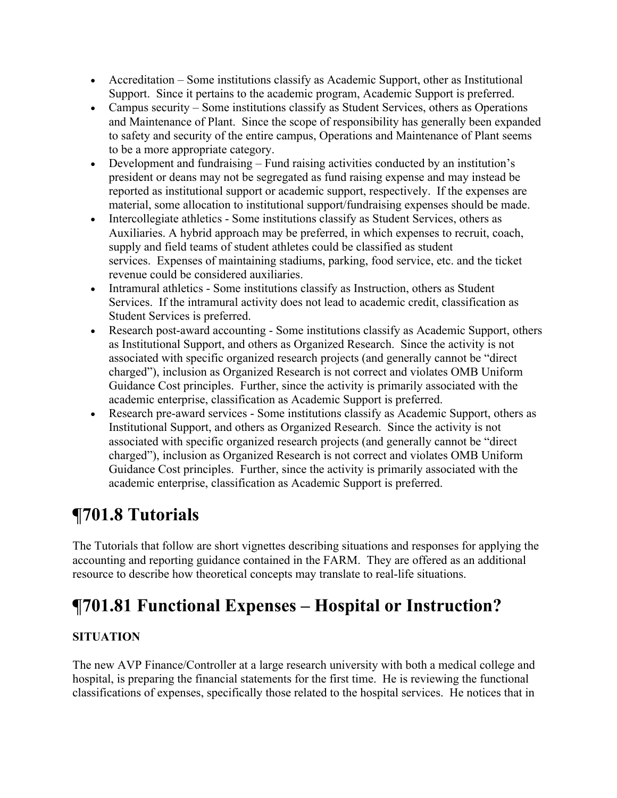- Accreditation Some institutions classify as Academic Support, other as Institutional Support. Since it pertains to the academic program, Academic Support is preferred.
- Campus security Some institutions classify as Student Services, others as Operations and Maintenance of Plant. Since the scope of responsibility has generally been expanded to safety and security of the entire campus, Operations and Maintenance of Plant seems to be a more appropriate category.
- Development and fundraising Fund raising activities conducted by an institution's president or deans may not be segregated as fund raising expense and may instead be reported as institutional support or academic support, respectively. If the expenses are material, some allocation to institutional support/fundraising expenses should be made.
- Intercollegiate athletics Some institutions classify as Student Services, others as Auxiliaries. A hybrid approach may be preferred, in which expenses to recruit, coach, supply and field teams of student athletes could be classified as student services. Expenses of maintaining stadiums, parking, food service, etc. and the ticket revenue could be considered auxiliaries.
- Intramural athletics Some institutions classify as Instruction, others as Student Services. If the intramural activity does not lead to academic credit, classification as Student Services is preferred.
- Research post-award accounting Some institutions classify as Academic Support, others as Institutional Support, and others as Organized Research. Since the activity is not associated with specific organized research projects (and generally cannot be "direct charged"), inclusion as Organized Research is not correct and violates OMB Uniform Guidance Cost principles. Further, since the activity is primarily associated with the academic enterprise, classification as Academic Support is preferred.
- Research pre-award services Some institutions classify as Academic Support, others as Institutional Support, and others as Organized Research. Since the activity is not associated with specific organized research projects (and generally cannot be "direct charged"), inclusion as Organized Research is not correct and violates OMB Uniform Guidance Cost principles. Further, since the activity is primarily associated with the academic enterprise, classification as Academic Support is preferred.

# **¶701.8 Tutorials**

The Tutorials that follow are short vignettes describing situations and responses for applying the accounting and reporting guidance contained in the FARM. They are offered as an additional resource to describe how theoretical concepts may translate to real-life situations.

# **¶701.81 Functional Expenses – Hospital or Instruction?**

## **SITUATION**

The new AVP Finance/Controller at a large research university with both a medical college and hospital, is preparing the financial statements for the first time. He is reviewing the functional classifications of expenses, specifically those related to the hospital services. He notices that in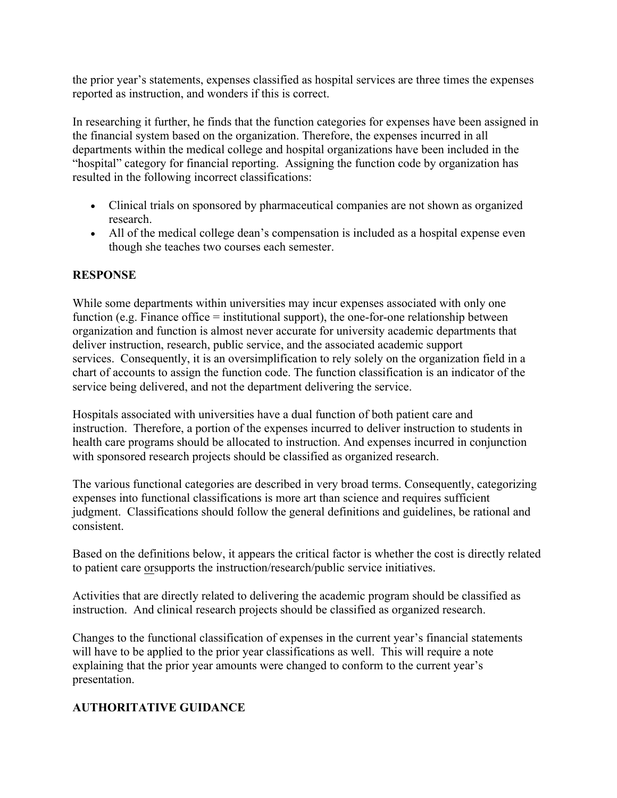the prior year's statements, expenses classified as hospital services are three times the expenses reported as instruction, and wonders if this is correct.

In researching it further, he finds that the function categories for expenses have been assigned in the financial system based on the organization. Therefore, the expenses incurred in all departments within the medical college and hospital organizations have been included in the "hospital" category for financial reporting. Assigning the function code by organization has resulted in the following incorrect classifications:

- Clinical trials on sponsored by pharmaceutical companies are not shown as organized research.
- All of the medical college dean's compensation is included as a hospital expense even though she teaches two courses each semester.

## **RESPONSE**

While some departments within universities may incur expenses associated with only one function (e.g. Finance office = institutional support), the one-for-one relationship between organization and function is almost never accurate for university academic departments that deliver instruction, research, public service, and the associated academic support services. Consequently, it is an oversimplification to rely solely on the organization field in a chart of accounts to assign the function code. The function classification is an indicator of the service being delivered, and not the department delivering the service.

Hospitals associated with universities have a dual function of both patient care and instruction. Therefore, a portion of the expenses incurred to deliver instruction to students in health care programs should be allocated to instruction. And expenses incurred in conjunction with sponsored research projects should be classified as organized research.

The various functional categories are described in very broad terms. Consequently, categorizing expenses into functional classifications is more art than science and requires sufficient judgment. Classifications should follow the general definitions and guidelines, be rational and consistent.

Based on the definitions below, it appears the critical factor is whether the cost is directly related to patient care orsupports the instruction/research/public service initiatives.

Activities that are directly related to delivering the academic program should be classified as instruction. And clinical research projects should be classified as organized research.

Changes to the functional classification of expenses in the current year's financial statements will have to be applied to the prior year classifications as well. This will require a note explaining that the prior year amounts were changed to conform to the current year's presentation.

### **AUTHORITATIVE GUIDANCE**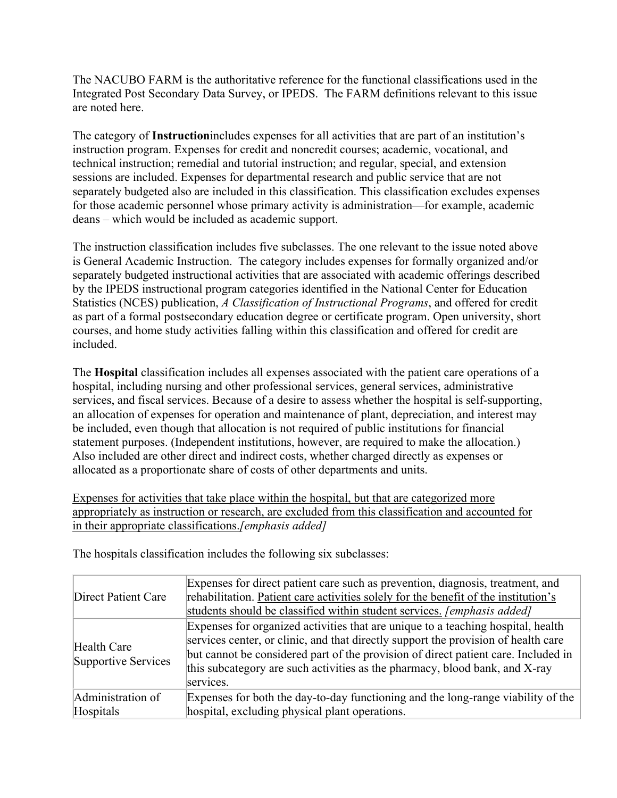The NACUBO FARM is the authoritative reference for the functional classifications used in the Integrated Post Secondary Data Survey, or IPEDS. The FARM definitions relevant to this issue are noted here.

The category of **Instruction**includes expenses for all activities that are part of an institution's instruction program. Expenses for credit and noncredit courses; academic, vocational, and technical instruction; remedial and tutorial instruction; and regular, special, and extension sessions are included. Expenses for departmental research and public service that are not separately budgeted also are included in this classification. This classification excludes expenses for those academic personnel whose primary activity is administration—for example, academic deans – which would be included as academic support.

The instruction classification includes five subclasses. The one relevant to the issue noted above is General Academic Instruction. The category includes expenses for formally organized and/or separately budgeted instructional activities that are associated with academic offerings described by the IPEDS instructional program categories identified in the National Center for Education Statistics (NCES) publication, *A Classification of Instructional Programs*, and offered for credit as part of a formal postsecondary education degree or certificate program. Open university, short courses, and home study activities falling within this classification and offered for credit are included.

The **Hospital** classification includes all expenses associated with the patient care operations of a hospital, including nursing and other professional services, general services, administrative services, and fiscal services. Because of a desire to assess whether the hospital is self-supporting, an allocation of expenses for operation and maintenance of plant, depreciation, and interest may be included, even though that allocation is not required of public institutions for financial statement purposes. (Independent institutions, however, are required to make the allocation.) Also included are other direct and indirect costs, whether charged directly as expenses or allocated as a proportionate share of costs of other departments and units.

Expenses for activities that take place within the hospital, but that are categorized more appropriately as instruction or research, are excluded from this classification and accounted for in their appropriate classifications.*[emphasis added]*

| <b>Direct Patient Care</b>         | Expenses for direct patient care such as prevention, diagnosis, treatment, and<br>rehabilitation. Patient care activities solely for the benefit of the institution's<br>students should be classified within student services. [emphasis added]                                                                                                         |
|------------------------------------|----------------------------------------------------------------------------------------------------------------------------------------------------------------------------------------------------------------------------------------------------------------------------------------------------------------------------------------------------------|
| Health Care<br>Supportive Services | Expenses for organized activities that are unique to a teaching hospital, health<br>services center, or clinic, and that directly support the provision of health care<br>but cannot be considered part of the provision of direct patient care. Included in<br>this subcategory are such activities as the pharmacy, blood bank, and X-ray<br>services. |
| Administration of                  | Expenses for both the day-to-day functioning and the long-range viability of the                                                                                                                                                                                                                                                                         |
| Hospitals                          | hospital, excluding physical plant operations.                                                                                                                                                                                                                                                                                                           |

The hospitals classification includes the following six subclasses: